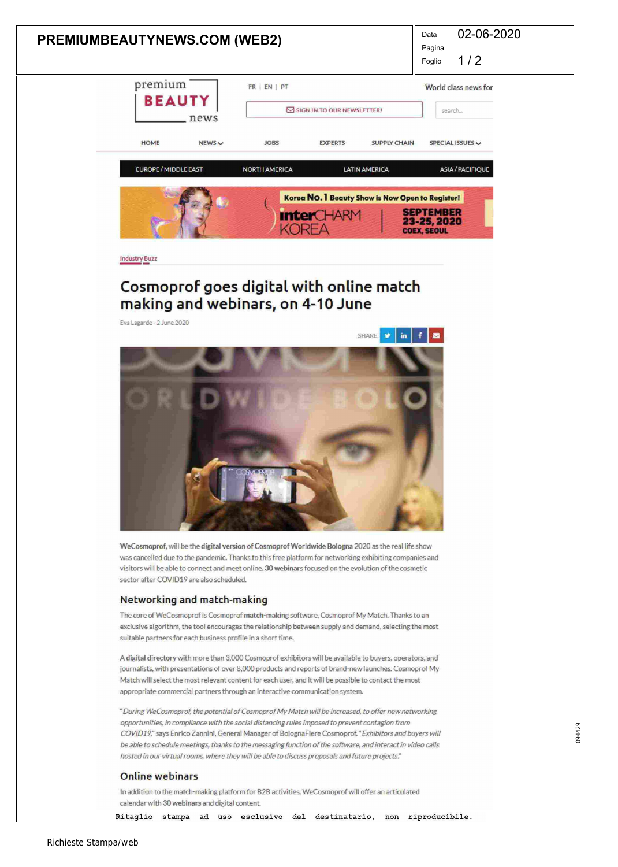| 02-06-2020<br>Data<br><b>PREMIUMBEAUTYNEWS.COM (WEB2)</b><br>Pagina<br>1/2<br>Foglio                                                                                                                                                                                                                                                                                                                                                                                                                                              |        |
|-----------------------------------------------------------------------------------------------------------------------------------------------------------------------------------------------------------------------------------------------------------------------------------------------------------------------------------------------------------------------------------------------------------------------------------------------------------------------------------------------------------------------------------|--------|
| premium<br>FR   EN   PT<br>World class news for<br><b>BEAUTY</b><br>SIGN IN TO OUR NEWSLETTER!<br>search<br>news                                                                                                                                                                                                                                                                                                                                                                                                                  |        |
| <b>HOME</b><br><b>JOBS</b><br>$NEW$ S $\vee$<br><b>EXPERTS</b><br><b>SUPPLY CHAIN</b><br>SPECIAL ISSUES V<br><b>EUROPE / MIDDLE EAST</b><br><b>NORTH AMERICA</b><br><b>LATIN AMERICA</b><br><b>ASIA / PACIFIQUE</b>                                                                                                                                                                                                                                                                                                               |        |
| Korea NO. 1 Beauty Show is Now Open to Register!<br><b>SEPTEMBER</b><br><b>InterCHARM</b><br>23-25, 2020<br>KOREA<br><b>COEX, SEOUL</b>                                                                                                                                                                                                                                                                                                                                                                                           |        |
| <b>Industry Buzz</b>                                                                                                                                                                                                                                                                                                                                                                                                                                                                                                              |        |
| Cosmoprof goes digital with online match<br>making and webinars, on 4-10 June<br>Eva Lagarde - 2 June 2020                                                                                                                                                                                                                                                                                                                                                                                                                        |        |
| f<br>SHARE:<br>$\blacksquare$<br>in                                                                                                                                                                                                                                                                                                                                                                                                                                                                                               |        |
| WeCosmoprof, will be the digital version of Cosmoprof Worldwide Bologna 2020 as the real life show<br>was cancelled due to the pandemic. Thanks to this free platform for networking exhibiting companies and<br>visitors will be able to connect and meet online. 30 webinars focused on the evolution of the cosmetic<br>sector after COVID19 are also scheduled.                                                                                                                                                               |        |
| Networking and match-making                                                                                                                                                                                                                                                                                                                                                                                                                                                                                                       |        |
| The core of WeCosmoprof is Cosmoprof match-making software, Cosmoprof My Match. Thanks to an<br>exclusive algorithm, the tool encourages the relationship between supply and demand, selecting the most<br>suitable partners for each business profile in a short time.                                                                                                                                                                                                                                                           |        |
| A digital directory with more than 3,000 Cosmoprof exhibitors will be available to buyers, operators, and<br>journalists, with presentations of over 8,000 products and reports of brand-new launches. Cosmoprof My<br>Match will select the most relevant content for each user, and it will be possible to contact the most<br>appropriate commercial partners through an interactive communication system.                                                                                                                     |        |
| "During WeCosmoprof, the potential of Cosmoprof My Match will be increased, to offer new networking<br>opportunities, in compliance with the social distancing rules imposed to prevent contagion from<br>COVID19," says Enrico Zannini, General Manager of BolognaFiere Cosmoprof." Exhibitors and buyers will<br>be able to schedule meetings, thanks to the messaging function of the software, and interact in video calls<br>hosted in our virtual rooms, where they will be able to discuss proposals and future projects." | 094429 |
| <b>Online webinars</b>                                                                                                                                                                                                                                                                                                                                                                                                                                                                                                            |        |

In addition to the match-making platform for B2B activities. WeCosmoprof will offer an articulated calendar with 30 webínars and digital content.

Ritaglio stampa ad uso esclusivo del destinatario, non riproducibile.